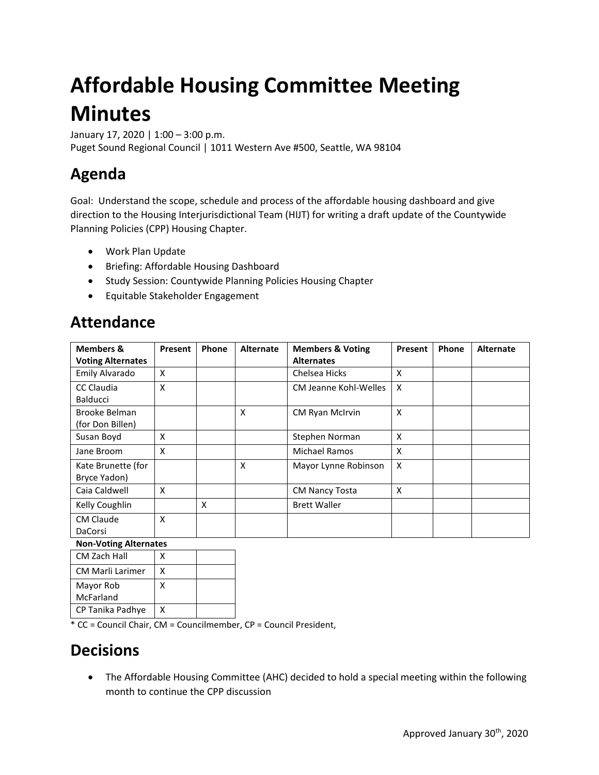# **Affordable Housing Committee Meeting Minutes**

January 17, 2020 | 1:00 – 3:00 p.m. Puget Sound Regional Council | 1011 Western Ave #500, Seattle, WA 98104

# **Agenda**

Goal: Understand the scope, schedule and process of the affordable housing dashboard and give direction to the Housing Interjurisdictional Team (HIJT) for writing a draft update of the Countywide Planning Policies (CPP) Housing Chapter.

- Work Plan Update
- Briefing: Affordable Housing Dashboard
- Study Session: Countywide Planning Policies Housing Chapter
- Equitable Stakeholder Engagement

# **Attendance**

| <b>Members &amp;</b>                 | Present | Phone | <b>Alternate</b> | <b>Members &amp; Voting</b> | Present | Phone | <b>Alternate</b> |
|--------------------------------------|---------|-------|------------------|-----------------------------|---------|-------|------------------|
| <b>Voting Alternates</b>             |         |       |                  | <b>Alternates</b>           |         |       |                  |
| Emily Alvarado                       | X       |       |                  | Chelsea Hicks               | X       |       |                  |
| <b>CC Claudia</b><br><b>Balducci</b> | X       |       |                  | CM Jeanne Kohl-Welles       | X       |       |                  |
| Brooke Belman<br>(for Don Billen)    |         |       | X                | CM Ryan McIrvin             | X       |       |                  |
| Susan Boyd                           | X       |       |                  | Stephen Norman              | X       |       |                  |
| Jane Broom                           | X       |       |                  | <b>Michael Ramos</b>        | X       |       |                  |
| Kate Brunette (for<br>Bryce Yadon)   |         |       | X                | Mayor Lynne Robinson        | X       |       |                  |
| Caia Caldwell                        | X       |       |                  | <b>CM Nancy Tosta</b>       | X       |       |                  |
| Kelly Coughlin                       |         | X     |                  | <b>Brett Waller</b>         |         |       |                  |
| <b>CM Claude</b><br>DaCorsi          | X       |       |                  |                             |         |       |                  |

#### **Non-Voting Alternates**

| CM Zach Hall            | x |  |
|-------------------------|---|--|
| <b>CM Marli Larimer</b> | x |  |
| Mayor Rob               | x |  |
| McFarland               |   |  |
| CP Tanika Padhye        | x |  |

\* CC = Council Chair, CM = Councilmember, CP = Council President,

# **Decisions**

• The Affordable Housing Committee (AHC) decided to hold a special meeting within the following month to continue the CPP discussion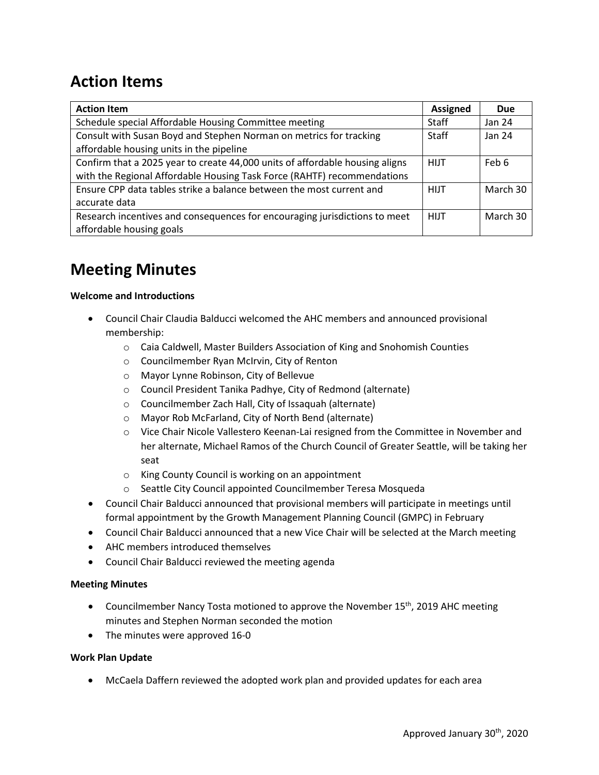# **Action Items**

| <b>Action Item</b>                                                           | <b>Assigned</b> | Due      |
|------------------------------------------------------------------------------|-----------------|----------|
| Schedule special Affordable Housing Committee meeting                        | <b>Staff</b>    | Jan 24   |
| Consult with Susan Boyd and Stephen Norman on metrics for tracking           | <b>Staff</b>    | Jan 24   |
| affordable housing units in the pipeline                                     |                 |          |
| Confirm that a 2025 year to create 44,000 units of affordable housing aligns | <b>HIJT</b>     | Feb 6    |
| with the Regional Affordable Housing Task Force (RAHTF) recommendations      |                 |          |
| Ensure CPP data tables strike a balance between the most current and         | <b>HIJT</b>     | March 30 |
| accurate data                                                                |                 |          |
| Research incentives and consequences for encouraging jurisdictions to meet   | <b>HIJT</b>     | March 30 |
| affordable housing goals                                                     |                 |          |

### **Meeting Minutes**

#### **Welcome and Introductions**

- Council Chair Claudia Balducci welcomed the AHC members and announced provisional membership:
	- o Caia Caldwell, Master Builders Association of King and Snohomish Counties
	- o Councilmember Ryan McIrvin, City of Renton
	- o Mayor Lynne Robinson, City of Bellevue
	- o Council President Tanika Padhye, City of Redmond (alternate)
	- o Councilmember Zach Hall, City of Issaquah (alternate)
	- o Mayor Rob McFarland, City of North Bend (alternate)
	- o Vice Chair Nicole Vallestero Keenan-Lai resigned from the Committee in November and her alternate, Michael Ramos of the Church Council of Greater Seattle, will be taking her seat
	- o King County Council is working on an appointment
	- o Seattle City Council appointed Councilmember Teresa Mosqueda
- Council Chair Balducci announced that provisional members will participate in meetings until formal appointment by the Growth Management Planning Council (GMPC) in February
- Council Chair Balducci announced that a new Vice Chair will be selected at the March meeting
- AHC members introduced themselves
- Council Chair Balducci reviewed the meeting agenda

#### **Meeting Minutes**

- Councilmember Nancy Tosta motioned to approve the November  $15<sup>th</sup>$ , 2019 AHC meeting minutes and Stephen Norman seconded the motion
- The minutes were approved 16-0

#### **Work Plan Update**

• McCaela Daffern reviewed the adopted work plan and provided updates for each area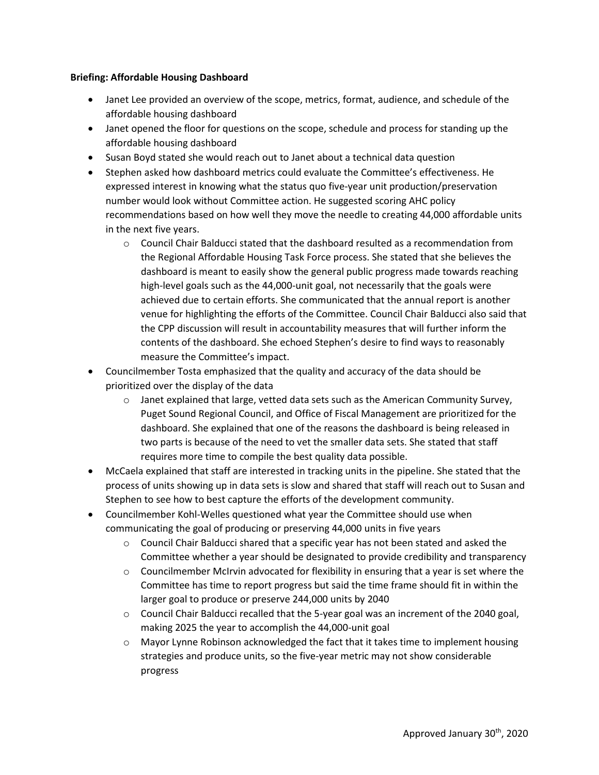#### **Briefing: Affordable Housing Dashboard**

- Janet Lee provided an overview of the scope, metrics, format, audience, and schedule of the affordable housing dashboard
- Janet opened the floor for questions on the scope, schedule and process for standing up the affordable housing dashboard
- Susan Boyd stated she would reach out to Janet about a technical data question
- Stephen asked how dashboard metrics could evaluate the Committee's effectiveness. He expressed interest in knowing what the status quo five-year unit production/preservation number would look without Committee action. He suggested scoring AHC policy recommendations based on how well they move the needle to creating 44,000 affordable units in the next five years.
	- o Council Chair Balducci stated that the dashboard resulted as a recommendation from the Regional Affordable Housing Task Force process. She stated that she believes the dashboard is meant to easily show the general public progress made towards reaching high-level goals such as the 44,000-unit goal, not necessarily that the goals were achieved due to certain efforts. She communicated that the annual report is another venue for highlighting the efforts of the Committee. Council Chair Balducci also said that the CPP discussion will result in accountability measures that will further inform the contents of the dashboard. She echoed Stephen's desire to find ways to reasonably measure the Committee's impact.
- Councilmember Tosta emphasized that the quality and accuracy of the data should be prioritized over the display of the data
	- $\circ$  Janet explained that large, vetted data sets such as the American Community Survey, Puget Sound Regional Council, and Office of Fiscal Management are prioritized for the dashboard. She explained that one of the reasons the dashboard is being released in two parts is because of the need to vet the smaller data sets. She stated that staff requires more time to compile the best quality data possible.
- McCaela explained that staff are interested in tracking units in the pipeline. She stated that the process of units showing up in data sets is slow and shared that staff will reach out to Susan and Stephen to see how to best capture the efforts of the development community.
- Councilmember Kohl-Welles questioned what year the Committee should use when communicating the goal of producing or preserving 44,000 units in five years
	- $\circ$  Council Chair Balducci shared that a specific year has not been stated and asked the Committee whether a year should be designated to provide credibility and transparency
	- $\circ$  Councilmember McIrvin advocated for flexibility in ensuring that a year is set where the Committee has time to report progress but said the time frame should fit in within the larger goal to produce or preserve 244,000 units by 2040
	- o Council Chair Balducci recalled that the 5-year goal was an increment of the 2040 goal, making 2025 the year to accomplish the 44,000-unit goal
	- $\circ$  Mayor Lynne Robinson acknowledged the fact that it takes time to implement housing strategies and produce units, so the five-year metric may not show considerable progress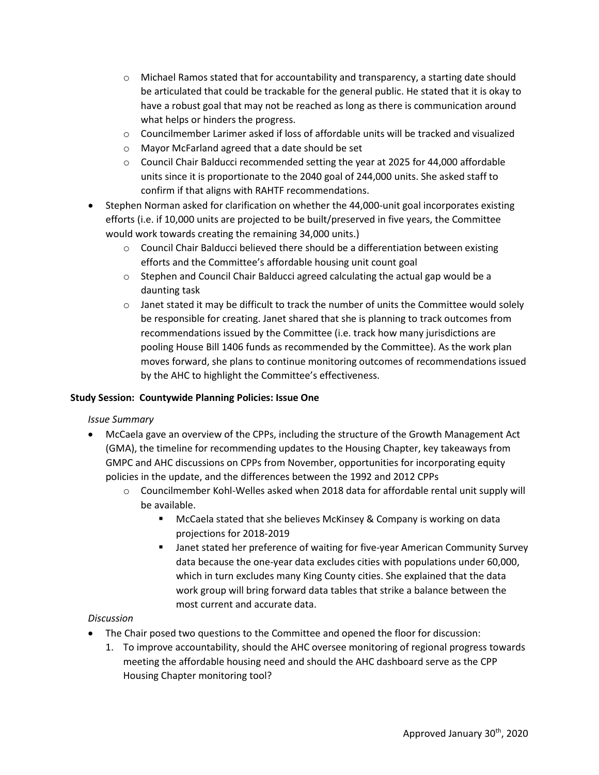- o Michael Ramos stated that for accountability and transparency, a starting date should be articulated that could be trackable for the general public. He stated that it is okay to have a robust goal that may not be reached as long as there is communication around what helps or hinders the progress.
- $\circ$  Councilmember Larimer asked if loss of affordable units will be tracked and visualized
- o Mayor McFarland agreed that a date should be set
- $\circ$  Council Chair Balducci recommended setting the year at 2025 for 44,000 affordable units since it is proportionate to the 2040 goal of 244,000 units. She asked staff to confirm if that aligns with RAHTF recommendations.
- Stephen Norman asked for clarification on whether the 44,000-unit goal incorporates existing efforts (i.e. if 10,000 units are projected to be built/preserved in five years, the Committee would work towards creating the remaining 34,000 units.)
	- $\circ$  Council Chair Balducci believed there should be a differentiation between existing efforts and the Committee's affordable housing unit count goal
	- $\circ$  Stephen and Council Chair Balducci agreed calculating the actual gap would be a daunting task
	- $\circ$  Janet stated it may be difficult to track the number of units the Committee would solely be responsible for creating. Janet shared that she is planning to track outcomes from recommendations issued by the Committee (i.e. track how many jurisdictions are pooling House Bill 1406 funds as recommended by the Committee). As the work plan moves forward, she plans to continue monitoring outcomes of recommendations issued by the AHC to highlight the Committee's effectiveness.

#### **Study Session: Countywide Planning Policies: Issue One**

#### *Issue Summary*

- McCaela gave an overview of the CPPs, including the structure of the Growth Management Act (GMA), the timeline for recommending updates to the Housing Chapter, key takeaways from GMPC and AHC discussions on CPPs from November, opportunities for incorporating equity policies in the update, and the differences between the 1992 and 2012 CPPs
	- $\circ$  Councilmember Kohl-Welles asked when 2018 data for affordable rental unit supply will be available.
		- McCaela stated that she believes McKinsey & Company is working on data projections for 2018-2019
		- Janet stated her preference of waiting for five-year American Community Survey data because the one-year data excludes cities with populations under 60,000, which in turn excludes many King County cities. She explained that the data work group will bring forward data tables that strike a balance between the most current and accurate data.

#### *Discussion*

- The Chair posed two questions to the Committee and opened the floor for discussion:
	- 1. To improve accountability, should the AHC oversee monitoring of regional progress towards meeting the affordable housing need and should the AHC dashboard serve as the CPP Housing Chapter monitoring tool?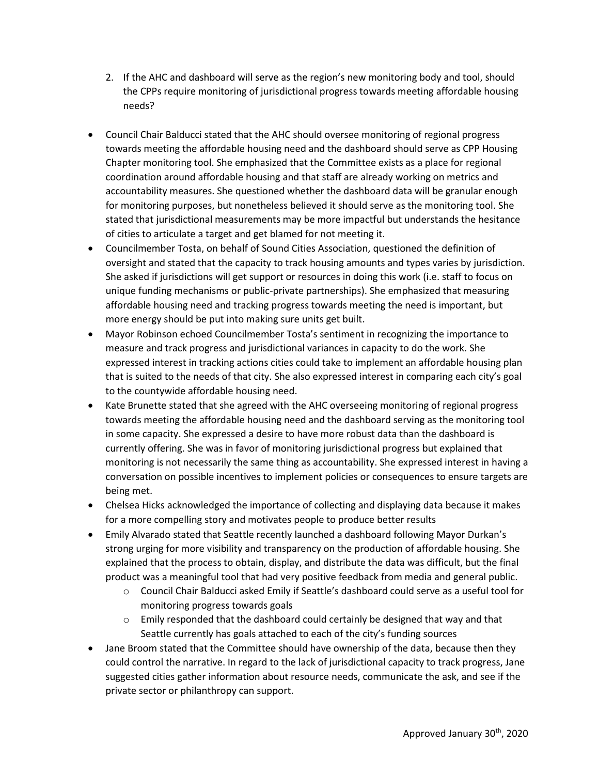- 2. If the AHC and dashboard will serve as the region's new monitoring body and tool, should the CPPs require monitoring of jurisdictional progress towards meeting affordable housing needs?
- Council Chair Balducci stated that the AHC should oversee monitoring of regional progress towards meeting the affordable housing need and the dashboard should serve as CPP Housing Chapter monitoring tool. She emphasized that the Committee exists as a place for regional coordination around affordable housing and that staff are already working on metrics and accountability measures. She questioned whether the dashboard data will be granular enough for monitoring purposes, but nonetheless believed it should serve as the monitoring tool. She stated that jurisdictional measurements may be more impactful but understands the hesitance of cities to articulate a target and get blamed for not meeting it.
- Councilmember Tosta, on behalf of Sound Cities Association, questioned the definition of oversight and stated that the capacity to track housing amounts and types varies by jurisdiction. She asked if jurisdictions will get support or resources in doing this work (i.e. staff to focus on unique funding mechanisms or public-private partnerships). She emphasized that measuring affordable housing need and tracking progress towards meeting the need is important, but more energy should be put into making sure units get built.
- Mayor Robinson echoed Councilmember Tosta's sentiment in recognizing the importance to measure and track progress and jurisdictional variances in capacity to do the work. She expressed interest in tracking actions cities could take to implement an affordable housing plan that is suited to the needs of that city. She also expressed interest in comparing each city's goal to the countywide affordable housing need.
- Kate Brunette stated that she agreed with the AHC overseeing monitoring of regional progress towards meeting the affordable housing need and the dashboard serving as the monitoring tool in some capacity. She expressed a desire to have more robust data than the dashboard is currently offering. She was in favor of monitoring jurisdictional progress but explained that monitoring is not necessarily the same thing as accountability. She expressed interest in having a conversation on possible incentives to implement policies or consequences to ensure targets are being met.
- Chelsea Hicks acknowledged the importance of collecting and displaying data because it makes for a more compelling story and motivates people to produce better results
- Emily Alvarado stated that Seattle recently launched a dashboard following Mayor Durkan's strong urging for more visibility and transparency on the production of affordable housing. She explained that the process to obtain, display, and distribute the data was difficult, but the final product was a meaningful tool that had very positive feedback from media and general public.
	- o Council Chair Balducci asked Emily if Seattle's dashboard could serve as a useful tool for monitoring progress towards goals
	- $\circ$  Emily responded that the dashboard could certainly be designed that way and that Seattle currently has goals attached to each of the city's funding sources
- Jane Broom stated that the Committee should have ownership of the data, because then they could control the narrative. In regard to the lack of jurisdictional capacity to track progress, Jane suggested cities gather information about resource needs, communicate the ask, and see if the private sector or philanthropy can support.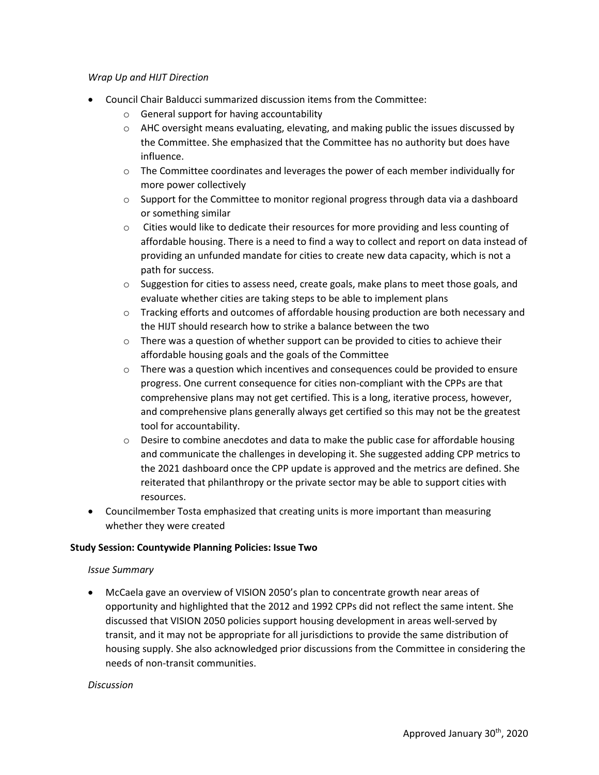#### *Wrap Up and HIJT Direction*

- Council Chair Balducci summarized discussion items from the Committee:
	- o General support for having accountability
	- $\circ$  AHC oversight means evaluating, elevating, and making public the issues discussed by the Committee. She emphasized that the Committee has no authority but does have influence.
	- $\circ$  The Committee coordinates and leverages the power of each member individually for more power collectively
	- $\circ$  Support for the Committee to monitor regional progress through data via a dashboard or something similar
	- o Cities would like to dedicate their resources for more providing and less counting of affordable housing. There is a need to find a way to collect and report on data instead of providing an unfunded mandate for cities to create new data capacity, which is not a path for success.
	- $\circ$  Suggestion for cities to assess need, create goals, make plans to meet those goals, and evaluate whether cities are taking steps to be able to implement plans
	- o Tracking efforts and outcomes of affordable housing production are both necessary and the HIJT should research how to strike a balance between the two
	- $\circ$  There was a question of whether support can be provided to cities to achieve their affordable housing goals and the goals of the Committee
	- $\circ$  There was a question which incentives and consequences could be provided to ensure progress. One current consequence for cities non-compliant with the CPPs are that comprehensive plans may not get certified. This is a long, iterative process, however, and comprehensive plans generally always get certified so this may not be the greatest tool for accountability.
	- $\circ$  Desire to combine anecdotes and data to make the public case for affordable housing and communicate the challenges in developing it. She suggested adding CPP metrics to the 2021 dashboard once the CPP update is approved and the metrics are defined. She reiterated that philanthropy or the private sector may be able to support cities with resources.
- Councilmember Tosta emphasized that creating units is more important than measuring whether they were created

#### **Study Session: Countywide Planning Policies: Issue Two**

#### *Issue Summary*

• McCaela gave an overview of VISION 2050's plan to concentrate growth near areas of opportunity and highlighted that the 2012 and 1992 CPPs did not reflect the same intent. She discussed that VISION 2050 policies support housing development in areas well-served by transit, and it may not be appropriate for all jurisdictions to provide the same distribution of housing supply. She also acknowledged prior discussions from the Committee in considering the needs of non-transit communities.

#### *Discussion*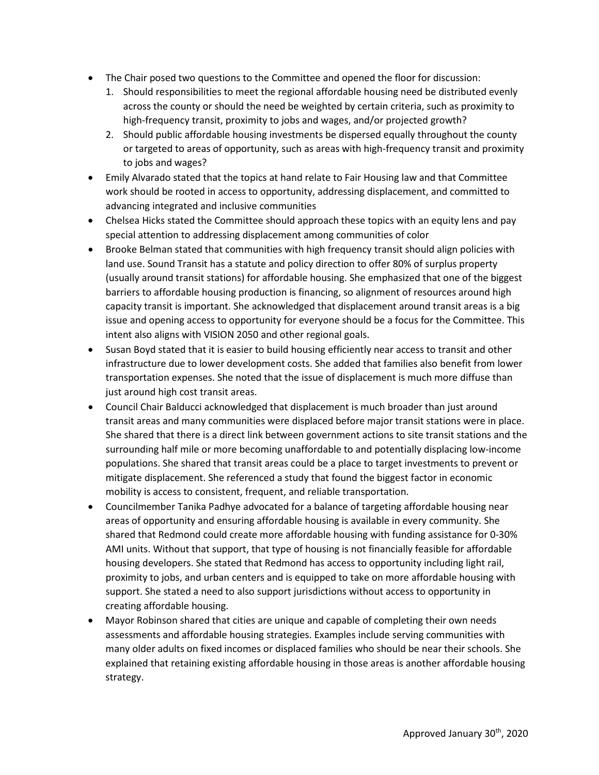- The Chair posed two questions to the Committee and opened the floor for discussion:
	- 1. Should responsibilities to meet the regional affordable housing need be distributed evenly across the county or should the need be weighted by certain criteria, such as proximity to high-frequency transit, proximity to jobs and wages, and/or projected growth?
	- 2. Should public affordable housing investments be dispersed equally throughout the county or targeted to areas of opportunity, such as areas with high-frequency transit and proximity to jobs and wages?
- Emily Alvarado stated that the topics at hand relate to Fair Housing law and that Committee work should be rooted in access to opportunity, addressing displacement, and committed to advancing integrated and inclusive communities
- Chelsea Hicks stated the Committee should approach these topics with an equity lens and pay special attention to addressing displacement among communities of color
- Brooke Belman stated that communities with high frequency transit should align policies with land use. Sound Transit has a statute and policy direction to offer 80% of surplus property (usually around transit stations) for affordable housing. She emphasized that one of the biggest barriers to affordable housing production is financing, so alignment of resources around high capacity transit is important. She acknowledged that displacement around transit areas is a big issue and opening access to opportunity for everyone should be a focus for the Committee. This intent also aligns with VISION 2050 and other regional goals.
- Susan Boyd stated that it is easier to build housing efficiently near access to transit and other infrastructure due to lower development costs. She added that families also benefit from lower transportation expenses. She noted that the issue of displacement is much more diffuse than just around high cost transit areas.
- Council Chair Balducci acknowledged that displacement is much broader than just around transit areas and many communities were displaced before major transit stations were in place. She shared that there is a direct link between government actions to site transit stations and the surrounding half mile or more becoming unaffordable to and potentially displacing low-income populations. She shared that transit areas could be a place to target investments to prevent or mitigate displacement. She referenced a study that found the biggest factor in economic mobility is access to consistent, frequent, and reliable transportation.
- Councilmember Tanika Padhye advocated for a balance of targeting affordable housing near areas of opportunity and ensuring affordable housing is available in every community. She shared that Redmond could create more affordable housing with funding assistance for 0-30% AMI units. Without that support, that type of housing is not financially feasible for affordable housing developers. She stated that Redmond has access to opportunity including light rail, proximity to jobs, and urban centers and is equipped to take on more affordable housing with support. She stated a need to also support jurisdictions without access to opportunity in creating affordable housing.
- Mayor Robinson shared that cities are unique and capable of completing their own needs assessments and affordable housing strategies. Examples include serving communities with many older adults on fixed incomes or displaced families who should be near their schools. She explained that retaining existing affordable housing in those areas is another affordable housing strategy.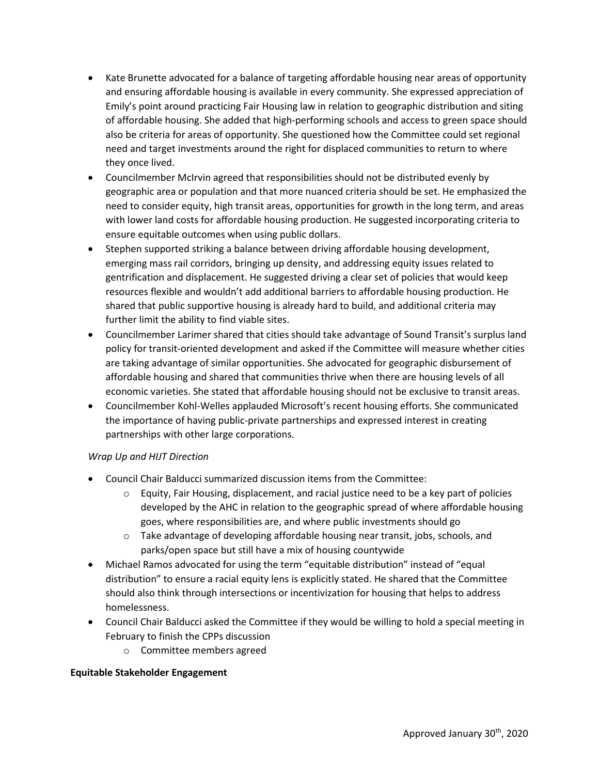- Kate Brunette advocated for a balance of targeting affordable housing near areas of opportunity and ensuring affordable housing is available in every community. She expressed appreciation of Emily's point around practicing Fair Housing law in relation to geographic distribution and siting of affordable housing. She added that high-performing schools and access to green space should also be criteria for areas of opportunity. She questioned how the Committee could set regional need and target investments around the right for displaced communities to return to where they once lived.
- Councilmember McIrvin agreed that responsibilities should not be distributed evenly by geographic area or population and that more nuanced criteria should be set. He emphasized the need to consider equity, high transit areas, opportunities for growth in the long term, and areas with lower land costs for affordable housing production. He suggested incorporating criteria to ensure equitable outcomes when using public dollars.
- Stephen supported striking a balance between driving affordable housing development, emerging mass rail corridors, bringing up density, and addressing equity issues related to gentrification and displacement. He suggested driving a clear set of policies that would keep resources flexible and wouldn't add additional barriers to affordable housing production. He shared that public supportive housing is already hard to build, and additional criteria may further limit the ability to find viable sites.
- Councilmember Larimer shared that cities should take advantage of Sound Transit's surplus land policy for transit-oriented development and asked if the Committee will measure whether cities are taking advantage of similar opportunities. She advocated for geographic disbursement of affordable housing and shared that communities thrive when there are housing levels of all economic varieties. She stated that affordable housing should not be exclusive to transit areas.
- Councilmember Kohl-Welles applauded Microsoft's recent housing efforts. She communicated the importance of having public-private partnerships and expressed interest in creating partnerships with other large corporations.

#### *Wrap Up and HIJT Direction*

- Council Chair Balducci summarized discussion items from the Committee:
	- $\circ$  Equity, Fair Housing, displacement, and racial justice need to be a key part of policies developed by the AHC in relation to the geographic spread of where affordable housing goes, where responsibilities are, and where public investments should go
	- o Take advantage of developing affordable housing near transit, jobs, schools, and parks/open space but still have a mix of housing countywide
- Michael Ramos advocated for using the term "equitable distribution" instead of "equal distribution" to ensure a racial equity lens is explicitly stated. He shared that the Committee should also think through intersections or incentivization for housing that helps to address homelessness.
- Council Chair Balducci asked the Committee if they would be willing to hold a special meeting in February to finish the CPPs discussion
	- o Committee members agreed

#### **Equitable Stakeholder Engagement**